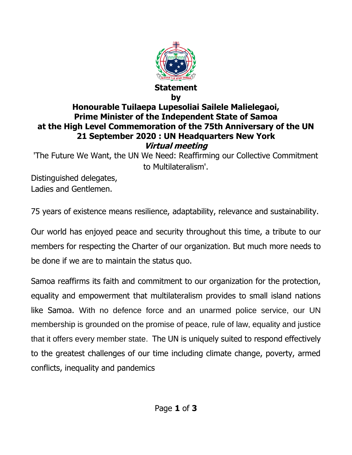

## **by Honourable Tuilaepa Lupesoliai Sailele Malielegaoi, Prime Minister of the Independent State of Samoa at the High Level Commemoration of the 75th Anniversary of the UN 21 September 2020 : UN Headquarters New York Virtual meeting**

'The Future We Want, the UN We Need: Reaffirming our Collective Commitment to Multilateralism'.

Distinguished delegates, Ladies and Gentlemen.

75 years of existence means resilience, adaptability, relevance and sustainability.

Our world has enjoyed peace and security throughout this time, a tribute to our members for respecting the Charter of our organization. But much more needs to be done if we are to maintain the status quo.

Samoa reaffirms its faith and commitment to our organization for the protection, equality and empowerment that multilateralism provides to small island nations like Samoa. With no defence force and an unarmed police service, our UN membership is grounded on the promise of peace, rule of law, equality and justice that it offers every member state. The UN is uniquely suited to respond effectively to the greatest challenges of our time including climate change, poverty, armed conflicts, inequality and pandemics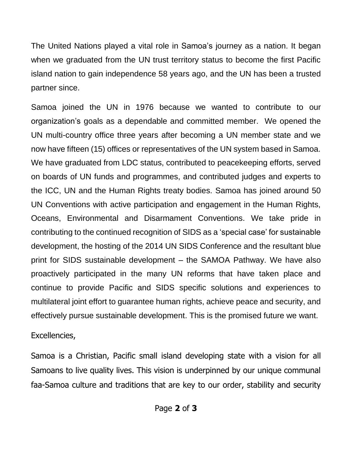The United Nations played a vital role in Samoa's journey as a nation. It began when we graduated from the UN trust territory status to become the first Pacific island nation to gain independence 58 years ago, and the UN has been a trusted partner since.

Samoa joined the UN in 1976 because we wanted to contribute to our organization's goals as a dependable and committed member. We opened the UN multi-country office three years after becoming a UN member state and we now have fifteen (15) offices or representatives of the UN system based in Samoa. We have graduated from LDC status, contributed to peacekeeping efforts, served on boards of UN funds and programmes, and contributed judges and experts to the ICC, UN and the Human Rights treaty bodies. Samoa has joined around 50 UN Conventions with active participation and engagement in the Human Rights, Oceans, Environmental and Disarmament Conventions. We take pride in contributing to the continued recognition of SIDS as a 'special case' for sustainable development, the hosting of the 2014 UN SIDS Conference and the resultant blue print for SIDS sustainable development – the SAMOA Pathway. We have also proactively participated in the many UN reforms that have taken place and continue to provide Pacific and SIDS specific solutions and experiences to multilateral joint effort to guarantee human rights, achieve peace and security, and effectively pursue sustainable development. This is the promised future we want.

## Excellencies,

Samoa is a Christian, Pacific small island developing state with a vision for all Samoans to live quality lives. This vision is underpinned by our unique communal faa-Samoa culture and traditions that are key to our order, stability and security